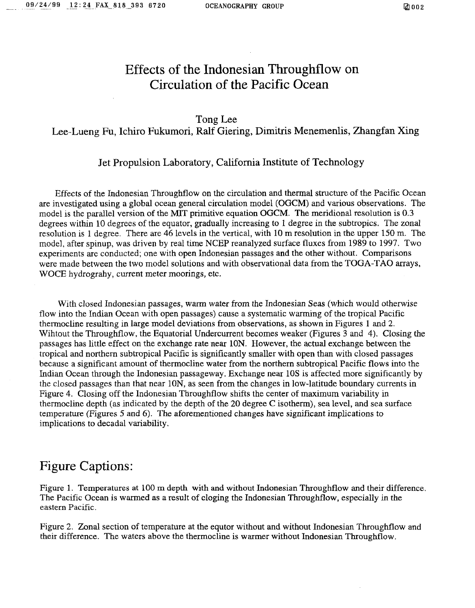# Effects of the Indonesian Throughflow on Circulation of the Pacific Ocean

### Tong Lee

Lee-Lueng Fu, Ichiro Fukumori, Ralf Giering, Dimitris Menemenlis, Zhangfan Xing

#### Jet Propulsion Laboratory, California Institute of Technology

Effects of the Indonesian Throughflow on the circulation and thermal structure of the Pacific Ocean are investigated using a global ocean general circulation model (OGCM) and various observations. The model is the parallel version of the MIT primitive equation OGCM. The meridional resolution is *0.3*  degrees within 10 degrees of the equator, gradually increasing to 1 degree in the subtropics. The zonal resolution is 1 degree. There are 46 levels in the vertical, with 10 m resolution in the upper 150 m. The model, after spinup, was driven by real time NCEP reanalyzed surface fluxes from 1989 to 1997. Two experiments are conducted; one with open Indonesian passages and the other without. Comparisons were made between the two model solutions and with observational data from the TOGA-TAO arrays, WOCE hydrograhy, current meter moorings, etc.

With closed Indonesian passages, warm water from the Indonesian Seas (which would otherwise flow into the Indian Ocean with open passages) cause a systematic warming of the tropical Pacific thermocline resulting in large model deviations from observations, as shown in Figures 1 and 2. Wihtout the Throughflow, the Equatorial Undercurrent becomes weaker (Figures **3** and 4). Closing the passages has little effect on the exchange rate near 1ON. However, the actual exchange between the tropical and northern subtropical Pacific is significantly smaller with open than with closed passages because a significant amount of thermocline water from the northern subtropical Pacific flows into the Indian Ocean through the Indonesian passageway. Exchange near 10s is affected more significantly by the closed passages than that near lON, as seen from the changes in low-latitude boundary currents in Figure 4. Closing off the Indonesian Tbroughflow shifts the center of maximum variability in thermocline depth (as indicated by the depth of the **20** degree C isotherm), sea level, and sea surface temperature (Figures *5* and 6). The aforementioned changes have significant implications to implications to decadal variability.

### Figure Captions:

Figure **1.** Temperatures **at** 100 rn depth with and without Indonesian Throughflow and their difference. The Pacific Ocean is warmed as a result of cloging the Indonesian Throughflow, especially in the eastern Pacific.

Figure *2.* Zonal section of temperature at the equtor without and without Indonesian Throughflow and their difference. The waters above the thermocline is warmer without Indonesian Throughflow.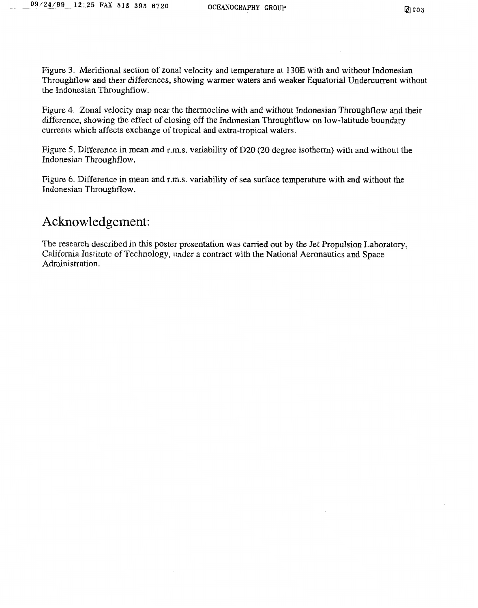Figure **3.** Meridional section of zonal velocity and temperature at 130E with and without Indonesian Throughflow and their differences, showing warmer waters **and** weaker Equatorial Undercurrent without the Indonesian Throughflow.

Figure 4. Zonal velocity map near the thermocline with and without Indonesian Throughflow and their difference, showing the effect of closing off the Indonesian Throughflow on low-latitude boundary currents which affects exchange of tropical and extra-tropical waters.

Figure 5. Difference in mean and r.m.s. variability of D20 (20 degree isotherm) with and without the Indonesian Throughflow.

Figure 6. Difference in mean and r.m.s. variability of sea surface temperature with and without the Indonesian Throughflow.

## Acknowledgement:

The research described in this poster presentation was carried out by the Jet Propulsion Laboratory, California Institute of Technology, under a contract with the National Aeronautics and Space Administration.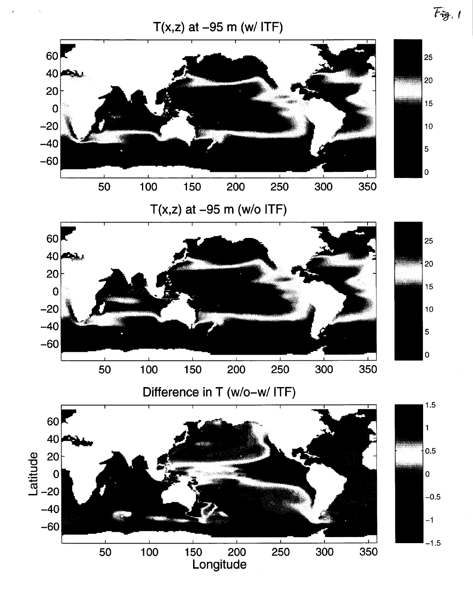

Longitude

 $F_{\tilde{v}g.1}$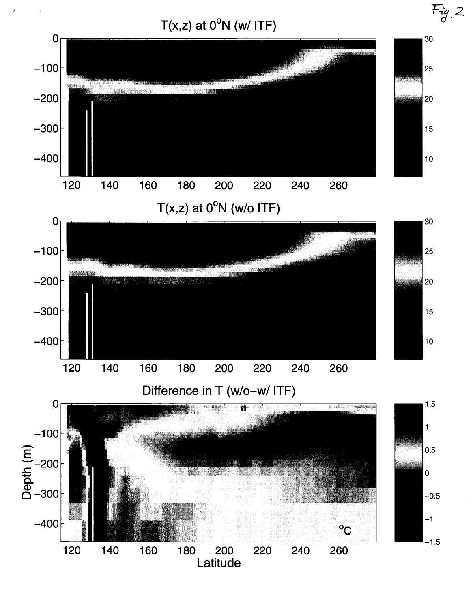

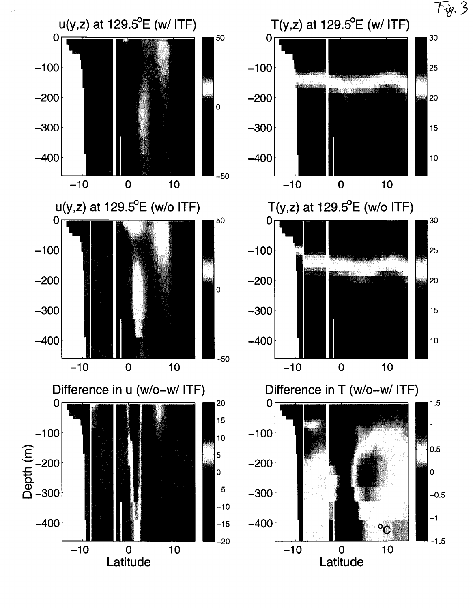$F_{\hat{\mathcal{Y}}}$ , 3  $T(y,z)$  at 129.5 $^{\circ}$ E (w/ ITF)  $u(y, z)$  at 129.5 $^{\circ}$ E (w/ ITF) 30 *50 0-*   $\mathbf 0$  $-100$  $-100$ 25  $-200$ -200 20 *0 -300 -300*   $15$ -400 -400  $10$  $\lfloor$ *-50*   $-10$  0 10 **-1** *0 0* 10  $u(y,z)$  at 129.5 $^{\circ}$ E (w/o ITF)  $T(y, z)$  at 129.5 ${}^{o}$ E (w/o ITF) *50 30 0- 0*   $-100$  $-100$ 25  $-200$ -200 *20 0 -300 -300*  15  $-400$ -400 10  $\lfloor$ *-50*   $-10$  0 10 -1 *0 0* 10 Difference in T (w/o-w/ ITF) Difference in u (w/o-w/ ITF) *0 20*  1.5 *0*   $-10$ <br>  $E = -20$ **15**  1 -1 *00*   $-100$ 10 0.5 *5*  -200 *0*  + *0 0*  **-5**  *-300 -300*   $-0.5$  $-10$ -1 -400 -400  $-15$  $\rm ^o\rm C$ *-20*  **-1** *0 0* 10 . .-  $-1.5$ **-1** 0 0 10 **Latitude** 

Latitude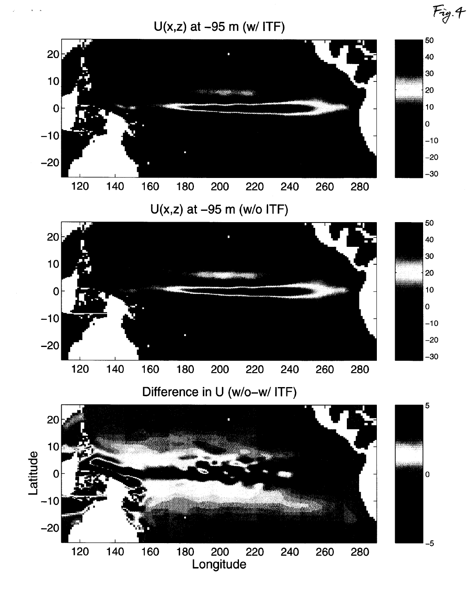

**tA** 



 $Fig. 4$ 

**U(x,z)** at -95 m (w/o ITF)



Difference in **U** (w/o-w/ ITF)

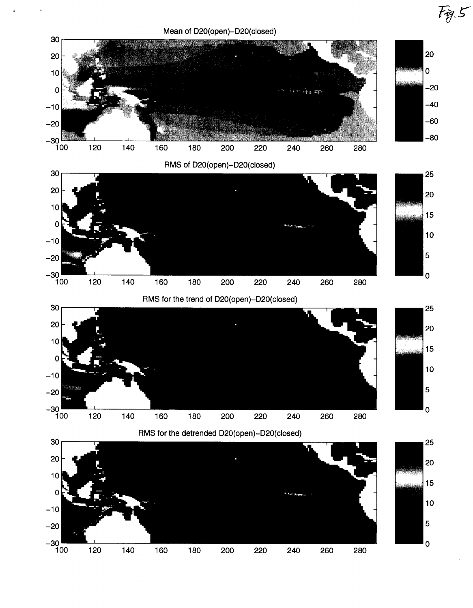<span id="page-6-0"></span>